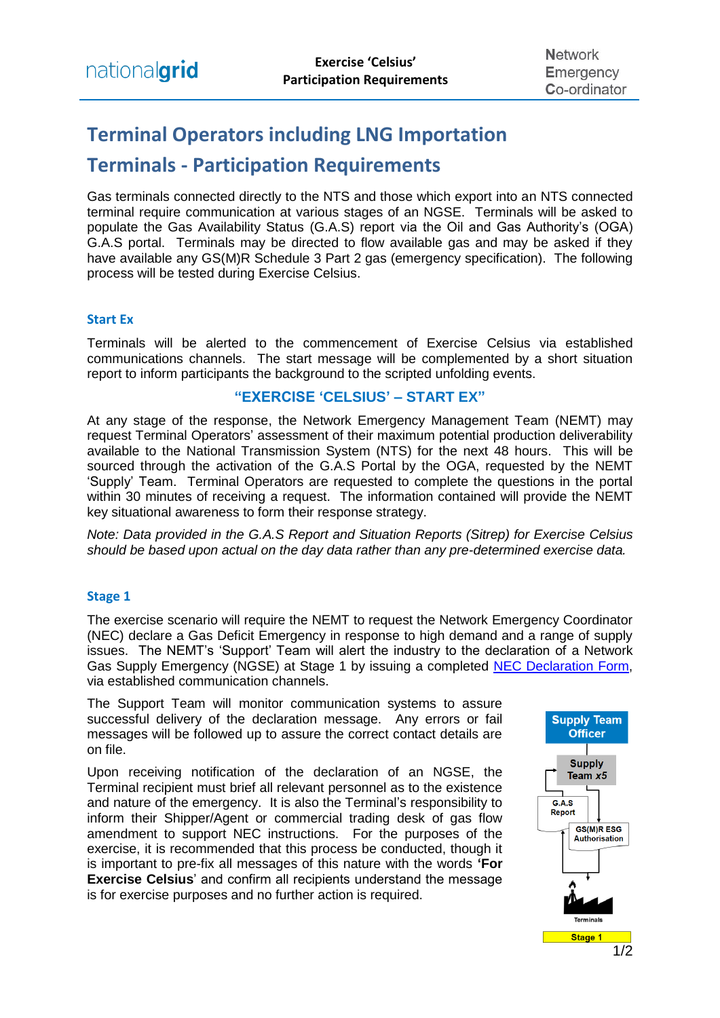# **Terminal Operators including LNG Importation**

# **Terminals - Participation Requirements**

Gas terminals connected directly to the NTS and those which export into an NTS connected terminal require communication at various stages of an NGSE. Terminals will be asked to populate the Gas Availability Status (G.A.S) report via the Oil and Gas Authority's (OGA) G.A.S portal. Terminals may be directed to flow available gas and may be asked if they have available any GS(M)R Schedule 3 Part 2 gas (emergency specification). The following process will be tested during Exercise Celsius.

## **Start Ex**

Terminals will be alerted to the commencement of Exercise Celsius via established communications channels. The start message will be complemented by a short situation report to inform participants the background to the scripted unfolding events.

## **"EXERCISE 'CELSIUS' – START EX"**

At any stage of the response, the Network Emergency Management Team (NEMT) may request Terminal Operators' assessment of their maximum potential production deliverability available to the National Transmission System (NTS) for the next 48 hours. This will be sourced through the activation of the G.A.S Portal by the OGA, requested by the NEMT 'Supply' Team. Terminal Operators are requested to complete the questions in the portal within 30 minutes of receiving a request. The information contained will provide the NEMT key situational awareness to form their response strategy.

*Note: Data provided in the G.A.S Report and Situation Reports (Sitrep) for Exercise Celsius should be based upon actual on the day data rather than any pre-determined exercise data.* 

#### **Stage 1**

The exercise scenario will require the NEMT to request the Network Emergency Coordinator (NEC) declare a Gas Deficit Emergency in response to high demand and a range of supply issues. The NEMT's 'Support' Team will alert the industry to the declaration of a Network Gas Supply Emergency (NGSE) at Stage 1 by issuing a completed [NEC Declaration Form,](https://www.nationalgrid.com/sites/default/files/documents/40493-NEC%20Declaration%20or%20industry%20update%20form.pdf) via established communication channels.

The Support Team will monitor communication systems to assure successful delivery of the declaration message. Any errors or fail messages will be followed up to assure the correct contact details are on file.

Upon receiving notification of the declaration of an NGSE, the Terminal recipient must brief all relevant personnel as to the existence and nature of the emergency. It is also the Terminal's responsibility to inform their Shipper/Agent or commercial trading desk of gas flow amendment to support NEC instructions. For the purposes of the exercise, it is recommended that this process be conducted, though it is important to pre-fix all messages of this nature with the words **'For Exercise Celsius**' and confirm all recipients understand the message is for exercise purposes and no further action is required.